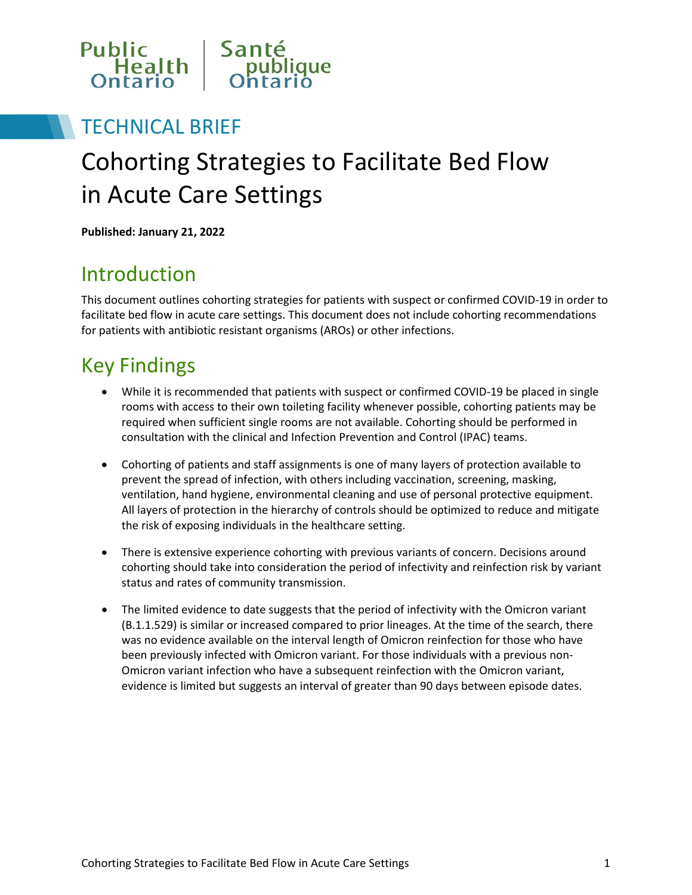

## TECHNICAL BRIEF

# Cohorting Strategies to Facilitate Bed Flow in Acute Care Settings

**Published: January 21, 2022**

## Introduction

This document outlines cohorting strategies for patients with suspect or confirmed COVID-19 in order to facilitate bed flow in acute care settings. This document does not include cohorting recommendations for patients with antibiotic resistant organisms (AROs) or other infections.

# Key Findings

- While it is recommended that patients with suspect or confirmed COVID-19 be placed in single rooms with access to their own toileting facility whenever possible, cohorting patients may be required when sufficient single rooms are not available. Cohorting should be performed in consultation with the clinical and Infection Prevention and Control (IPAC) teams.
- Cohorting of patients and staff assignments is one of many layers of protection available to prevent the spread of infection, with others including vaccination, screening, masking, ventilation, hand hygiene, environmental cleaning and use of personal protective equipment. All layers of protection in the hierarchy of controls should be optimized to reduce and mitigate the risk of exposing individuals in the healthcare setting.
- There is extensive experience cohorting with previous variants of concern. Decisions around cohorting should take into consideration the period of infectivity and reinfection risk by variant status and rates of community transmission.
- The limited evidence to date suggests that the period of infectivity with the Omicron variant (B.1.1.529) is similar or increased compared to prior lineages. At the time of the search, there was no evidence available on the interval length of Omicron reinfection for those who have been previously infected with Omicron variant. For those individuals with a previous non-Omicron variant infection who have a subsequent reinfection with the Omicron variant, evidence is limited but suggests an interval of greater than 90 days between episode dates.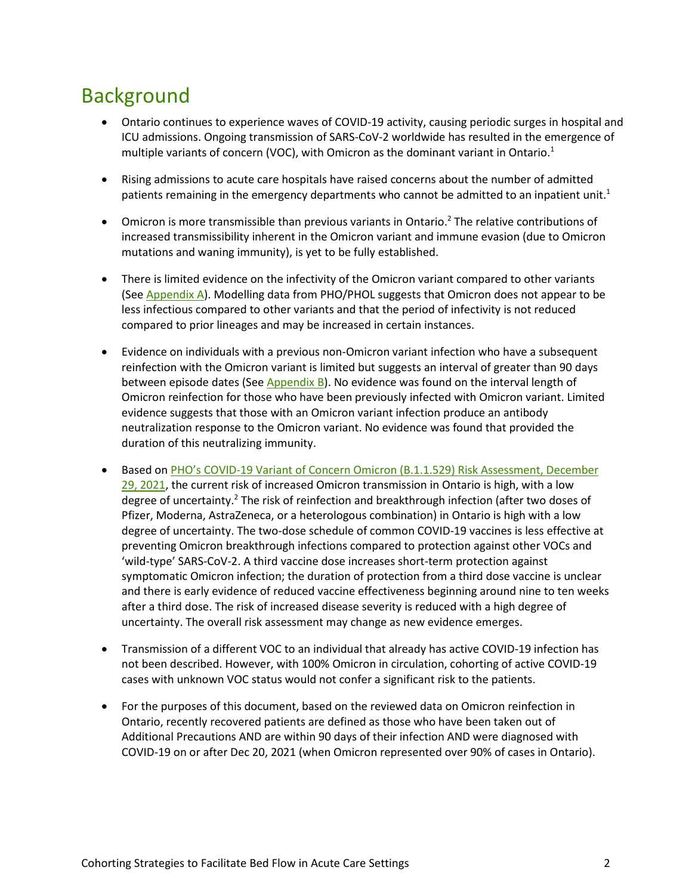## Background

- Ontario continues to experience waves of COVID-19 activity, causing periodic surges in hospital and ICU admissions. Ongoing transmission of SARS-CoV-2 worldwide has resulted in the emergence of multiple variants of concern (VOC), with Omicron as the dominant variant in Ontario. 1
- Rising admissions to acute care hospitals have raised concerns about the number of admitted patients remaining in the emergency departments who cannot be admitted to an inpatient unit.<sup>1</sup>
- Omicron is more transmissible than previous variants in Ontario.<sup>2</sup> The relative contributions of increased transmissibility inherent in the Omicron variant and immune evasion (due to Omicron mutations and waning immunity), is yet to be fully established.
- There is limited evidence on the infectivity of the Omicron variant compared to other variants (Se[e Appendix A\)](#page-6-0). Modelling data from PHO/PHOL suggests that Omicron does not appear to be less infectious compared to other variants and that the period of infectivity is not reduced compared to prior lineages and may be increased in certain instances.
- Evidence on individuals with a previous non-Omicron variant infection who have a subsequent reinfection with the Omicron variant is limited but suggests an interval of greater than 90 days between episode dates (See [Appendix B\)](#page-10-0). No evidence was found on the interval length of Omicron reinfection for those who have been previously infected with Omicron variant. Limited evidence suggests that those with an Omicron variant infection produce an antibody neutralization response to the Omicron variant. No evidence was found that provided the duration of this neutralizing immunity.
- Based on PHO's COVID-19 Variant of Concern Omicron (B.1.1.529) Risk Assessment, December [29, 2021,](https://www.publichealthontario.ca/-/media/documents/ncov/voc/2022/01/covid-19-omicron-b11529-risk-assessment-dec-29.pdf?sc_lang=en) the current risk of increased Omicron transmission in Ontario is high, with a low degree of uncertainty.<sup>2</sup> The risk of reinfection and breakthrough infection (after two doses of Pfizer, Moderna, AstraZeneca, or a heterologous combination) in Ontario is high with a low degree of uncertainty. The two-dose schedule of common COVID-19 vaccines is less effective at preventing Omicron breakthrough infections compared to protection against other VOCs and 'wild-type' SARS-CoV-2. A third vaccine dose increases short-term protection against symptomatic Omicron infection; the duration of protection from a third dose vaccine is unclear and there is early evidence of reduced vaccine effectiveness beginning around nine to ten weeks after a third dose. The risk of increased disease severity is reduced with a high degree of uncertainty. The overall risk assessment may change as new evidence emerges.
- Transmission of a different VOC to an individual that already has active COVID-19 infection has not been described. However, with 100% Omicron in circulation, cohorting of active COVID-19 cases with unknown VOC status would not confer a significant risk to the patients.
- For the purposes of this document, based on the reviewed data on Omicron reinfection in Ontario, recently recovered patients are defined as those who have been taken out of Additional Precautions AND are within 90 days of their infection AND were diagnosed with COVID-19 on or after Dec 20, 2021 (when Omicron represented over 90% of cases in Ontario).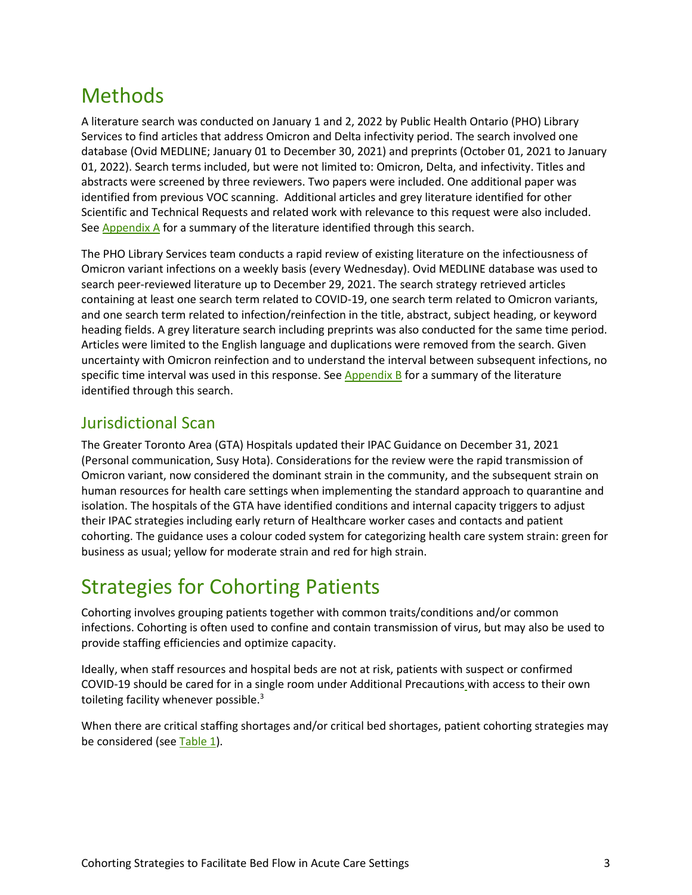## <span id="page-2-0"></span>Methods

A literature search was conducted on January 1 and 2, 2022 by Public Health Ontario (PHO) Library Services to find articles that address Omicron and Delta infectivity period. The search involved one database (Ovid MEDLINE; January 01 to December 30, 2021) and preprints (October 01, 2021 to January 01, 2022). Search terms included, but were not limited to: Omicron, Delta, and infectivity. Titles and abstracts were screened by three reviewers. Two papers were included. One additional paper was identified from previous VOC scanning. Additional articles and grey literature identified for other Scientific and Technical Requests and related work with relevance to this request were also included. Se[e Appendix A](#page-6-0) for a summary of the literature identified through this search.

The PHO Library Services team conducts a rapid review of existing literature on the infectiousness of Omicron variant infections on a weekly basis (every Wednesday). Ovid MEDLINE database was used to search peer-reviewed literature up to December 29, 2021. The search strategy retrieved articles containing at least one search term related to COVID-19, one search term related to Omicron variants, and one search term related to infection/reinfection in the title, abstract, subject heading, or keyword heading fields. A grey literature search including preprints was also conducted for the same time period. Articles were limited to the English language and duplications were removed from the search. Given uncertainty with Omicron reinfection and to understand the interval between subsequent infections, no specific time interval was used in this response. See [Appendix B](#page-10-0) for a summary of the literature identified through this search.

## Jurisdictional Scan

The Greater Toronto Area (GTA) Hospitals updated their IPAC Guidance on December 31, 2021 (Personal communication, Susy Hota). Considerations for the review were the rapid transmission of Omicron variant, now considered the dominant strain in the community, and the subsequent strain on human resources for health care settings when implementing the standard approach to quarantine and isolation. The hospitals of the GTA have identified conditions and internal capacity triggers to adjust their IPAC strategies including early return of Healthcare worker cases and contacts and patient cohorting. The guidance uses a colour coded system for categorizing health care system strain: green for business as usual; yellow for moderate strain and red for high strain.

## Strategies for Cohorting Patients

Cohorting involves grouping patients together with common traits/conditions and/or common infections. Cohorting is often used to confine and contain transmission of virus, but may also be used to provide staffing efficiencies and optimize capacity.

Ideally, when staff resources and hospital beds are not at risk, patients with suspect or confirmed COVID-19 should be cared for in a single room under Additional Precautions with access to their own toileting facility whenever possible.<sup>3</sup>

When there are critical staffing shortages and/or critical bed shortages, patient cohorting strategies may be considered (se[e Table 1\)](#page-3-0).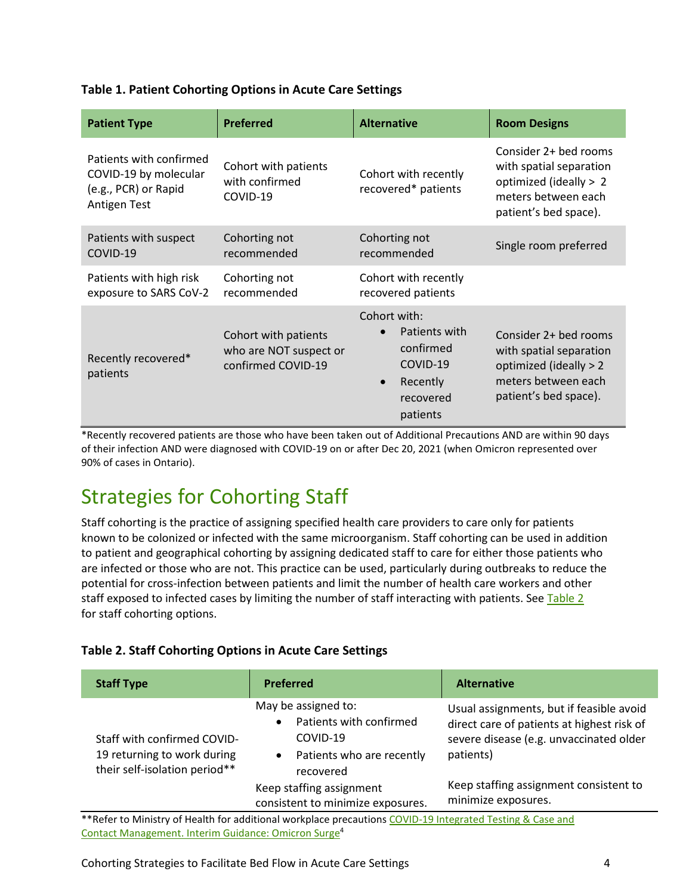#### <span id="page-3-0"></span>**Table 1. Patient Cohorting Options in Acute Care Settings**

| <b>Patient Type</b>                                                                             | <b>Preferred</b>                                                                                  | <b>Alternative</b>                                                                                       | <b>Room Designs</b>                                                                                                        |  |  |
|-------------------------------------------------------------------------------------------------|---------------------------------------------------------------------------------------------------|----------------------------------------------------------------------------------------------------------|----------------------------------------------------------------------------------------------------------------------------|--|--|
| Patients with confirmed<br>COVID-19 by molecular<br>(e.g., PCR) or Rapid<br><b>Antigen Test</b> | Cohort with patients<br>Cohort with recently<br>with confirmed<br>recovered* patients<br>COVID-19 |                                                                                                          | Consider 2+ bed rooms<br>with spatial separation<br>optimized (ideally > 2<br>meters between each<br>patient's bed space). |  |  |
| Patients with suspect<br>COVID-19                                                               | Cohorting not<br>recommended                                                                      | Cohorting not<br>recommended                                                                             | Single room preferred                                                                                                      |  |  |
| Patients with high risk<br>exposure to SARS CoV-2                                               | Cohorting not<br>recommended                                                                      | Cohort with recently<br>recovered patients                                                               |                                                                                                                            |  |  |
| Recently recovered*<br>patients                                                                 | Cohort with patients<br>who are NOT suspect or<br>confirmed COVID-19                              | Cohort with:<br>Patients with<br>confirmed<br>COVID-19<br>Recently<br>$\bullet$<br>recovered<br>patients | Consider 2+ bed rooms<br>with spatial separation<br>optimized (ideally > 2<br>meters between each<br>patient's bed space). |  |  |

\*Recently recovered patients are those who have been taken out of Additional Precautions AND are within 90 days of their infection AND were diagnosed with COVID-19 on or after Dec 20, 2021 (when Omicron represented over 90% of cases in Ontario).

## Strategies for Cohorting Staff

Staff cohorting is the practice of assigning specified health care providers to care only for patients known to be colonized or infected with the same microorganism. Staff cohorting can be used in addition to patient and geographical cohorting by assigning dedicated staff to care for either those patients who are infected or those who are not. This practice can be used, particularly during outbreaks to reduce the potential for cross-infection between patients and limit the number of health care workers and other staff exposed to infected cases by limiting the number of staff interacting with patients. See Table 2 for staff cohorting options.

#### <span id="page-3-1"></span>**Table 2. Staff Cohorting Options in Acute Care Settings**

| <b>Staff Type</b>                                                                           | <b>Preferred</b>                                                                                                               | <b>Alternative</b>                                                                                                                             |  |  |
|---------------------------------------------------------------------------------------------|--------------------------------------------------------------------------------------------------------------------------------|------------------------------------------------------------------------------------------------------------------------------------------------|--|--|
| Staff with confirmed COVID-<br>19 returning to work during<br>their self-isolation period** | May be assigned to:<br>Patients with confirmed<br>$\bullet$<br>COVID-19<br>Patients who are recently<br>$\bullet$<br>recovered | Usual assignments, but if feasible avoid<br>direct care of patients at highest risk of<br>severe disease (e.g. unvaccinated older<br>patients) |  |  |
|                                                                                             | Keep staffing assignment<br>consistent to minimize exposures.                                                                  | Keep staffing assignment consistent to<br>minimize exposures.                                                                                  |  |  |

Refer to Ministry of Health for additional workplace precautions <mark>COVID-19 Integrated Testing & Case and</mark> [Contact Management. Interim Guidance: Omicron Surge4](https://www.health.gov.on.ca/en/pro/programs/publichealth/coronavirus/docs/contact_mngmt/management_cases_contacts_omicron.pdf)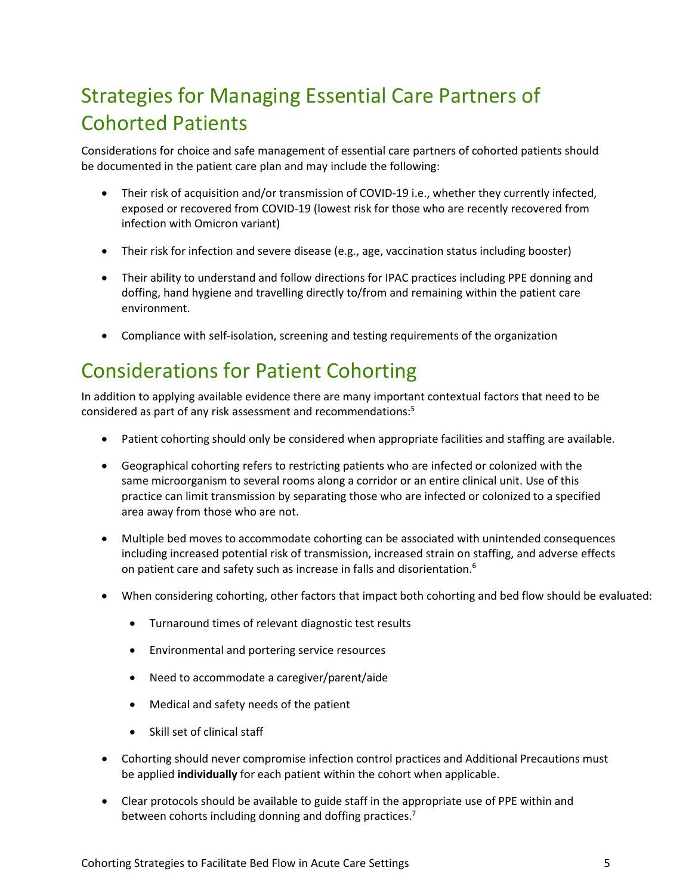# Strategies for Managing Essential Care Partners of Cohorted Patients

Considerations for choice and safe management of essential care partners of cohorted patients should be documented in the patient care plan and may include the following:

- Their risk of acquisition and/or transmission of COVID-19 i.e., whether they currently infected, exposed or recovered from COVID-19 (lowest risk for those who are recently recovered from infection with Omicron variant)
- Their risk for infection and severe disease (e.g., age, vaccination status including booster)
- Their ability to understand and follow directions for IPAC practices including PPE donning and doffing, hand hygiene and travelling directly to/from and remaining within the patient care environment.
- Compliance with self-isolation, screening and testing requirements of the organization

## Considerations for Patient Cohorting

In addition to applying available evidence there are many important contextual factors that need to be considered as part of any risk assessment and recommendations:5

- Patient cohorting should only be considered when appropriate facilities and staffing are available.
- Geographical cohorting refers to restricting patients who are infected or colonized with the same microorganism to several rooms along a corridor or an entire clinical unit. Use of this practice can limit transmission by separating those who are infected or colonized to a specified area away from those who are not.
- Multiple bed moves to accommodate cohorting can be associated with unintended consequences including increased potential risk of transmission, increased strain on staffing, and adverse effects on patient care and safety [such as increase in falls](https://www.ncbi.nlm.nih.gov/pmc/articles/PMC6927259/) and disorientation.<sup>6</sup>
- When considering cohorting, other factors that impact both cohorting and bed flow should be evaluated:
	- Turnaround times of relevant diagnostic test results
	- Environmental and portering service resources
	- Need to accommodate a caregiver/parent/aide
	- Medical and safety needs of the patient
	- Skill set of clinical staff
- Cohorting should never compromise infection control practices and Additional Precautions must be applied **individually** for each patient within the cohort when applicable.
- Clear protocols should be available to guide staff in the appropriate use of PPE within and between cohorts including donning and doffing practices.<sup>7</sup>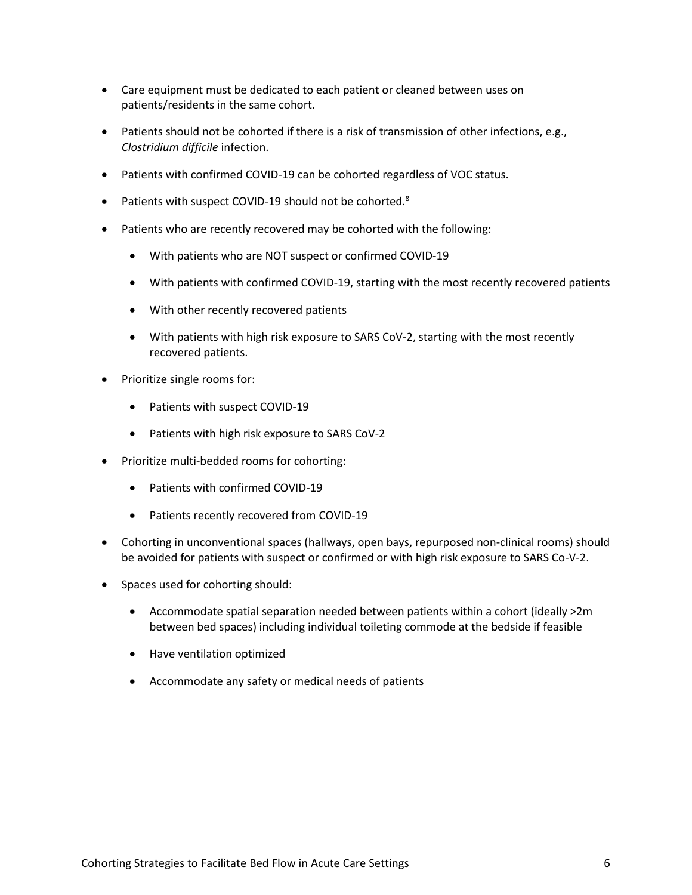- Care equipment must be dedicated to each patient or cleaned between uses on patients/residents in the same cohort.
- Patients should not be cohorted if there is a risk of transmission of other infections, e.g., *Clostridium difficile* infection.
- Patients with confirmed COVID-19 can be cohorted regardless of VOC status.
- Patients with suspect COVID-19 should not be cohorted.<sup>8</sup>
- Patients who are recently recovered may be cohorted with the following:
	- With patients who are NOT suspect or confirmed COVID-19
	- With patients with confirmed COVID-19, starting with the most recently recovered patients
	- With other recently recovered patients
	- With patients with high risk exposure to SARS CoV-2, starting with the most recently recovered patients.
- Prioritize single rooms for:
	- Patients with suspect COVID-19
	- Patients with high risk exposure to SARS CoV-2
- Prioritize multi-bedded rooms for cohorting:
	- Patients with confirmed COVID-19
	- Patients recently recovered from COVID-19
- Cohorting in unconventional spaces (hallways, open bays, repurposed non-clinical rooms) should be avoided for patients with suspect or confirmed or with high risk exposure to SARS Co-V-2.
- Spaces used for cohorting should:
	- Accommodate spatial separation needed between patients within a cohort (ideally >2m between bed spaces) including individual toileting commode at the bedside if feasible
	- Have ventilation optimized
	- Accommodate any safety or medical needs of patients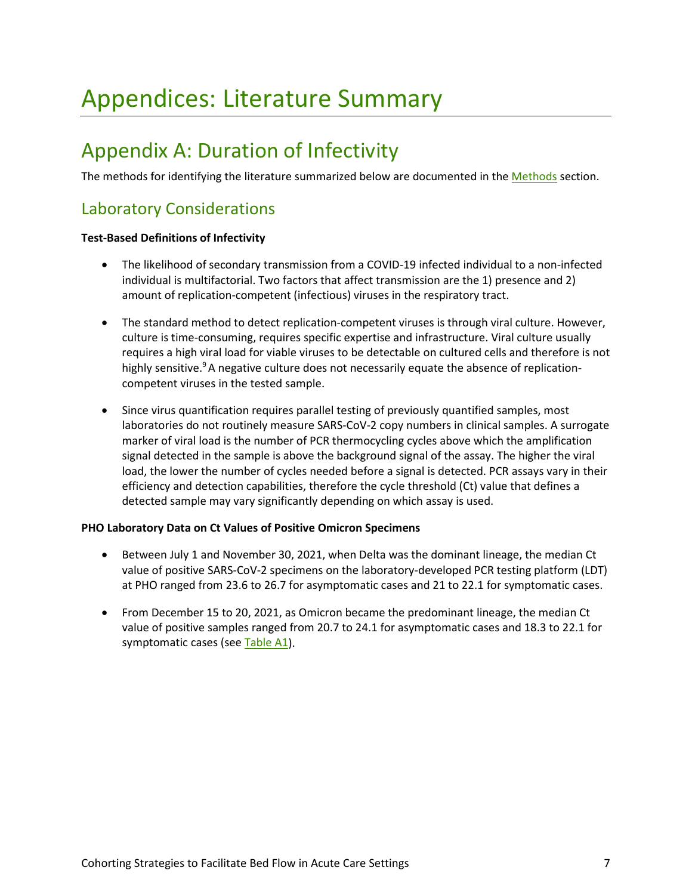# Appendices: Literature Summary

## <span id="page-6-0"></span>Appendix A: Duration of Infectivity

The methods for identifying the literature summarized below are documented in the [Methods](#page-2-0) section.

## Laboratory Considerations

#### **Test-Based Definitions of Infectivity**

- The likelihood of secondary transmission from a COVID-19 infected individual to a non-infected individual is multifactorial. Two factors that affect transmission are the 1) presence and 2) amount of replication-competent (infectious) viruses in the respiratory tract.
- The standard method to detect replication-competent viruses is through viral culture. However, culture is time-consuming, requires specific expertise and infrastructure. Viral culture usually requires a high viral load for viable viruses to be detectable on cultured cells and therefore is not highly sensitive. $9A$  negative culture does not necessarily equate the absence of replicationcompetent viruses in the tested sample.
- Since virus quantification requires parallel testing of previously quantified samples, most laboratories do not routinely measure SARS-CoV-2 copy numbers in clinical samples. A surrogate marker of viral load is the number of PCR thermocycling cycles above which the amplification signal detected in the sample is above the background signal of the assay. The higher the viral load, the lower the number of cycles needed before a signal is detected. PCR assays vary in their efficiency and detection capabilities, therefore the cycle threshold (Ct) value that defines a detected sample may vary significantly depending on which assay is used.

#### **PHO Laboratory Data on Ct Values of Positive Omicron Specimens**

- Between July 1 and November 30, 2021, when Delta was the dominant lineage, the median Ct value of positive SARS-CoV-2 specimens on the laboratory-developed PCR testing platform (LDT) at PHO ranged from 23.6 to 26.7 for asymptomatic cases and 21 to 22.1 for symptomatic cases.
- From December 15 to 20, 2021, as Omicron became the predominant lineage, the median Ct value of positive samples ranged from 20.7 to 24.1 for asymptomatic cases and 18.3 to 22.1 for symptomatic cases (see [Table A1\)](#page-7-0).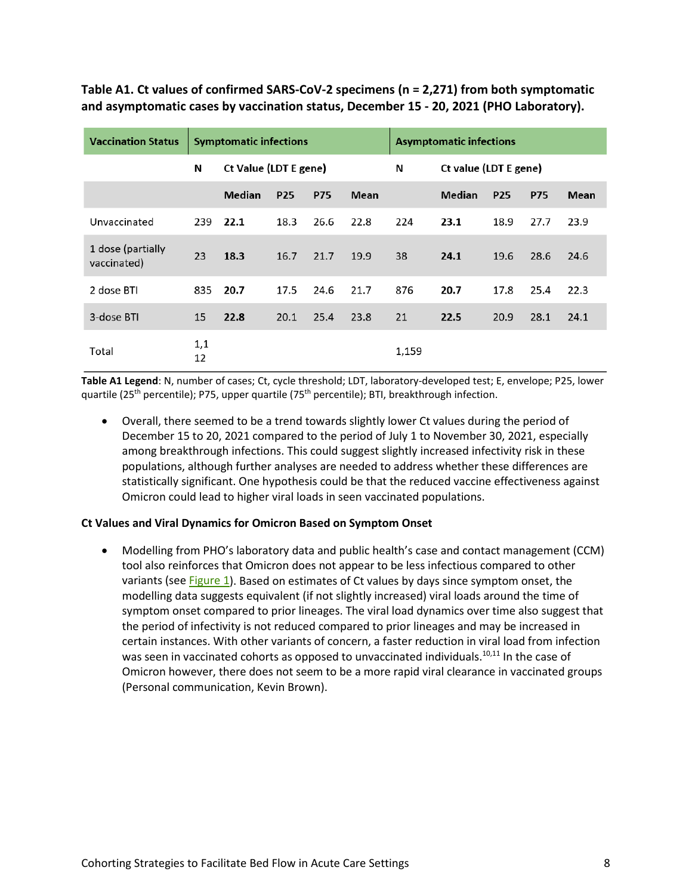<span id="page-7-0"></span>**Table A1. Ct values of confirmed SARS-CoV-2 specimens (n = 2,271) from both symptomatic and asymptomatic cases by vaccination status, December 15 - 20, 2021 (PHO Laboratory).**

| <b>Vaccination Status</b>        | <b>Symptomatic infections</b> |                       |            |            | <b>Asymptomatic infections</b> |                       |        |            |            |      |
|----------------------------------|-------------------------------|-----------------------|------------|------------|--------------------------------|-----------------------|--------|------------|------------|------|
|                                  | N                             | Ct Value (LDT E gene) |            |            | N                              | Ct value (LDT E gene) |        |            |            |      |
|                                  |                               | Median                | <b>P25</b> | <b>P75</b> | <b>Mean</b>                    |                       | Median | <b>P25</b> | <b>P75</b> | Mean |
| Unvaccinated                     | 239                           | 22.1                  | 18.3       | 26.6       | 22.8                           | 224                   | 23.1   | 18.9       | 27.7       | 23.9 |
| 1 dose (partially<br>vaccinated) | 23                            | 18.3                  | 16.7       | 21.7       | 19.9                           | 38                    | 24.1   | 19.6       | 28.6       | 24.6 |
| 2 dose BTI                       | 835                           | 20.7                  | 17.5       | 24.6       | 21.7                           | 876                   | 20.7   | 17.8       | 25.4       | 22.3 |
| 3-dose BTI                       | 15                            | 22.8                  | 20.1       | 25.4       | 23.8                           | 21                    | 22.5   | 20.9       | 28.1       | 24.1 |
| Total                            | 1,1<br>12                     |                       |            |            |                                | 1,159                 |        |            |            |      |

**Table A1 Legend**: N, number of cases; Ct, cycle threshold; LDT, laboratory-developed test; E, envelope; P25, lower quartile (25<sup>th</sup> percentile); P75, upper quartile (75<sup>th</sup> percentile); BTI, breakthrough infection.

• Overall, there seemed to be a trend towards slightly lower Ct values during the period of December 15 to 20, 2021 compared to the period of July 1 to November 30, 2021, especially among breakthrough infections. This could suggest slightly increased infectivity risk in these populations, although further analyses are needed to address whether these differences are statistically significant. One hypothesis could be that the reduced vaccine effectiveness against Omicron could lead to higher viral loads in seen vaccinated populations.

#### **Ct Values and Viral Dynamics for Omicron Based on Symptom Onset**

• Modelling from PHO's laboratory data and public health's case and contact management (CCM) tool also reinforces that Omicron does not appear to be less infectious compared to other variants (see [Figure 1\)](#page-8-0). Based on estimates of Ct values by days since symptom onset, the modelling data suggests equivalent (if not slightly increased) viral loads around the time of symptom onset compared to prior lineages. The viral load dynamics over time also suggest that the period of infectivity is not reduced compared to prior lineages and may be increased in certain instances. With other variants of concern, a faster reduction in viral load from infection was seen in vaccinated cohorts as opposed to unvaccinated individuals.<sup>10,11</sup> In the case of Omicron however, there does not seem to be a more rapid viral clearance in vaccinated groups (Personal communication, Kevin Brown).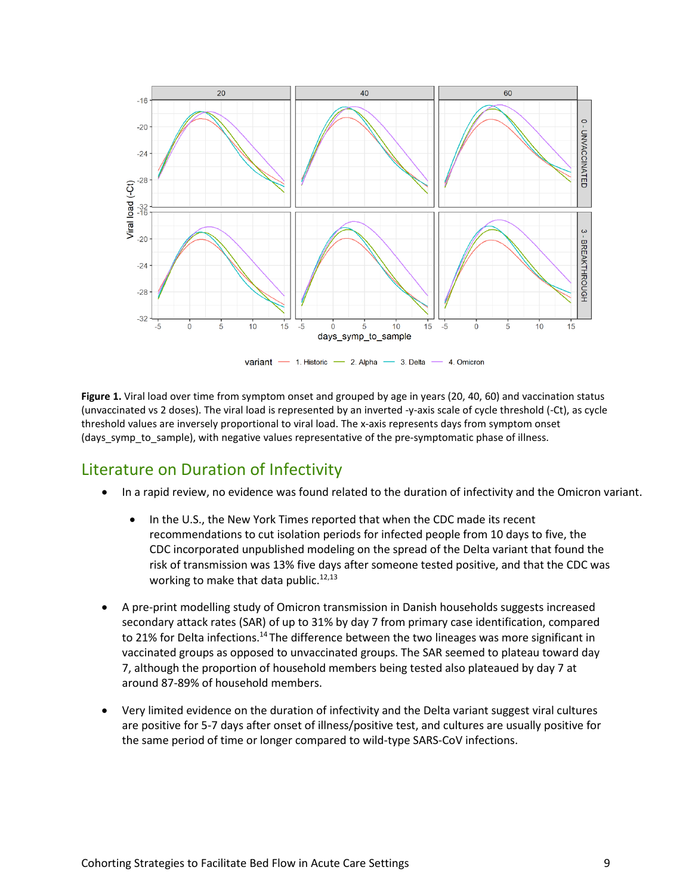

variant - 1. Historic - 2. Alpha - 3. Delta 4. Omicron

<span id="page-8-0"></span>**Figure 1.** Viral load over time from symptom onset and grouped by age in years (20, 40, 60) and vaccination status (unvaccinated vs 2 doses). The viral load is represented by an inverted -y-axis scale of cycle threshold (-Ct), as cycle threshold values are inversely proportional to viral load. The x-axis represents days from symptom onset (days symp to sample), with negative values representative of the pre-symptomatic phase of illness.

### Literature on Duration of Infectivity

- In a rapid review, no evidence was found related to the duration of infectivity and the Omicron variant.
	- In the U.S., the New York Times reported that when the CDC made its recent recommendations to cut isolation periods for infected people from 10 days to five, the CDC incorporated unpublished modeling on the spread of the Delta variant that found the risk of transmission was 13% five days after someone tested positive, and that the CDC was working to make that data public. $12,13$
- A pre-print modelling study of Omicron transmission in Danish households suggests increased secondary attack rates (SAR) of up to 31% by day 7 from primary case identification, compared to 21% for Delta infections.<sup>14</sup> The difference between the two lineages was more significant in vaccinated groups as opposed to unvaccinated groups. The SAR seemed to plateau toward day 7, although the proportion of household members being tested also plateaued by day 7 at around 87-89% of household members.
- Very limited evidence on the duration of infectivity and the Delta variant suggest viral cultures are positive for 5-7 days after onset of illness/positive test, and cultures are usually positive for the same period of time or longer compared to wild-type SARS-CoV infections.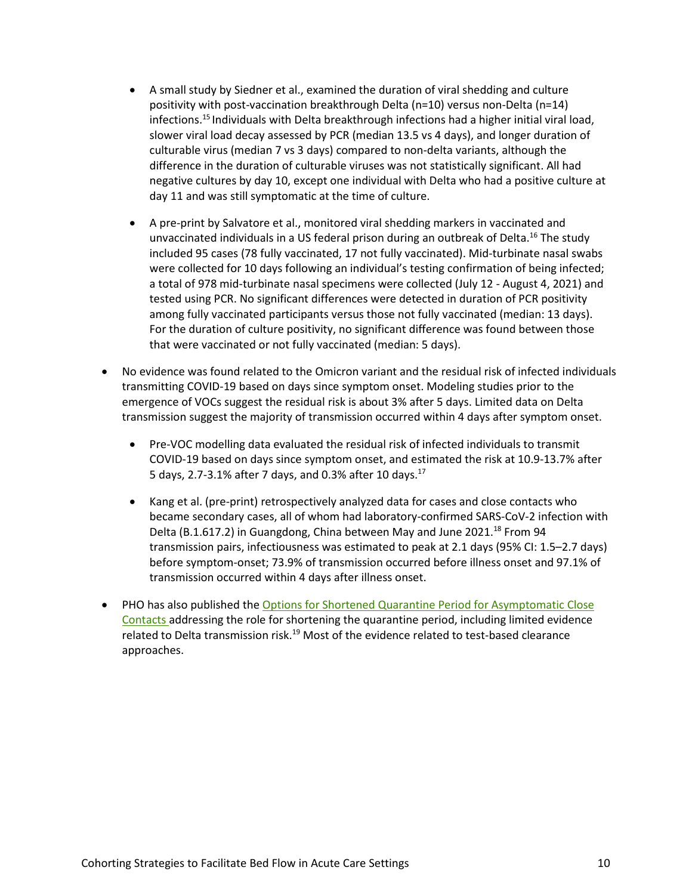- A small study by Siedner et al., examined the duration of viral shedding and culture positivity with post-vaccination breakthrough Delta (n=10) versus non-Delta (n=14) infections.15 Individuals with Delta breakthrough infections had a higher initial viral load, slower viral load decay assessed by PCR (median 13.5 vs 4 days), and longer duration of culturable virus (median 7 vs 3 days) compared to non-delta variants, although the difference in the duration of culturable viruses was not statistically significant. All had negative cultures by day 10, except one individual with Delta who had a positive culture at day 11 and was still symptomatic at the time of culture.
- A pre-print by Salvatore et al., monitored viral shedding markers in vaccinated and unvaccinated individuals in a US federal prison during an outbreak of Delta.<sup>16</sup> The study included 95 cases (78 fully vaccinated, 17 not fully vaccinated). Mid-turbinate nasal swabs were collected for 10 days following an individual's testing confirmation of being infected; a total of 978 mid-turbinate nasal specimens were collected (July 12 - August 4, 2021) and tested using PCR. No significant differences were detected in duration of PCR positivity among fully vaccinated participants versus those not fully vaccinated (median: 13 days). For the duration of culture positivity, no significant difference was found between those that were vaccinated or not fully vaccinated (median: 5 days).
- No evidence was found related to the Omicron variant and the residual risk of infected individuals transmitting COVID-19 based on days since symptom onset. Modeling studies prior to the emergence of VOCs suggest the residual risk is about 3% after 5 days. Limited data on Delta transmission suggest the majority of transmission occurred within 4 days after symptom onset.
	- Pre-VOC modelling data evaluated the residual risk of infected individuals to transmit COVID-19 based on days since symptom onset, and estimated the risk at 10.9-13.7% after 5 days, 2.7-3.1% after 7 days, and 0.3% after 10 days.17
	- [Kang et al.](https://doi.org/10.1101/2021.08.12.21261991) (pre-print) retrospectively analyzed data for cases and close contacts who became secondary cases, all of whom had laboratory-confirmed SARS-CoV-2 infection with Delta (B.1.617.2) in Guangdong, China between May and June 2021.<sup>18</sup> From 94 transmission pairs, infectiousness was estimated to peak at 2.1 days (95% CI: 1.5–2.7 days) before symptom-onset; 73.9% of transmission occurred before illness onset and 97.1% of transmission occurred within 4 days after illness onset.
- PHO has also published the Options for Shortened Quarantine Period for Asymptomatic Close [Contacts](https://www.publichealthontario.ca/-/media/documents/ncov/phm/2021/09/covid-19-shortened-quarantineoptions-asymptomatic.pdf?sc_lang=en) addressing the role for shortening the quarantine period, including limited evidence related to Delta transmission risk.<sup>19</sup> Most of the evidence related to test-based clearance approaches.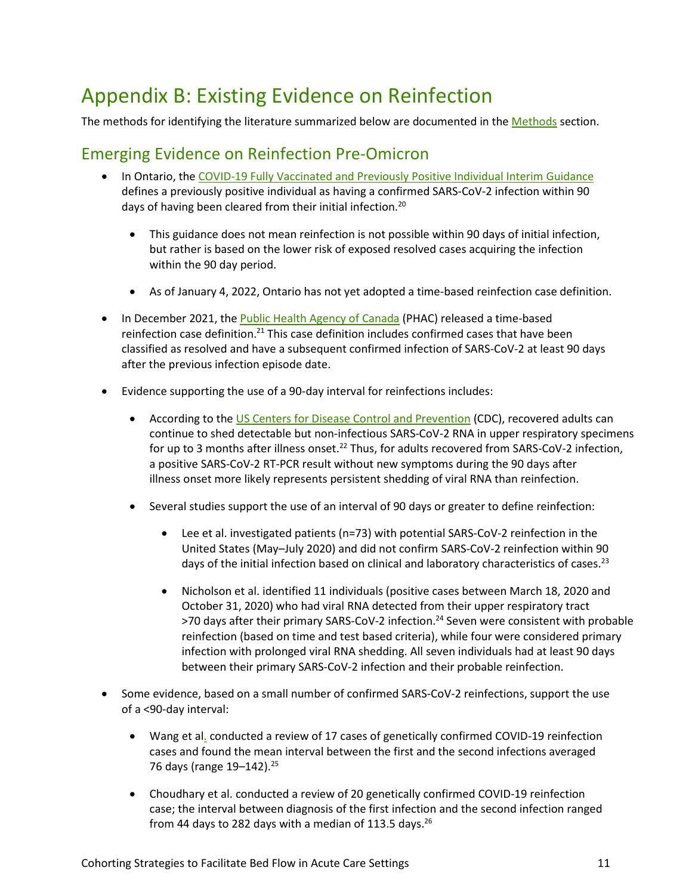## <span id="page-10-0"></span>Appendix B: Existing Evidence on Reinfection

The methods for identifying the literature summarized below are documented in the [Methods](#page-2-0) section.

## Emerging Evidence on Reinfection Pre-Omicron

- In Ontario, th[e COVID-19 Fully Vaccinated and Previously Positive Individual Interim Guidance](https://www.health.gov.on.ca/en/pro/programs/publichealth/coronavirus/docs/contact_mngmt/COVID-19_fully_vaccinated_interim_guidance.pdf) defines a previously positive individual as having a confirmed SARS-CoV-2 infection within 90 days of having been cleared from their initial infection.<sup>20</sup>
	- This guidance does not mean reinfection is not possible within 90 days of initial infection, but rather is based on the lower risk of exposed resolved cases acquiring the infection within the 90 day period.
	- As of January 4, 2022, Ontario has not yet adopted a time-based reinfection case definition.
- In December 2021, the [Public Health Agency of Canada](https://www.canada.ca/en/public-health/services/diseases/2019-novel-coronavirus-infection/health-professionals/national-case-definition.html#re) (PHAC) released a time-based reinfection case definition.<sup>21</sup> This case definition includes confirmed cases that have been classified as resolved and have a subsequent confirmed infection of SARS-CoV-2 at least 90 days after the previous infection episode date.
- Evidence supporting the use of a 90-day interval for reinfections includes:
	- According to the [US Centers for Disease Control and Prevention](https://www.cdc.gov/coronavirus/2019-ncov/hcp/duration-isolation.html#:%7E:text=1%2D5)-,Patients%20who%20have%20recovered%20from%20COVID%2D19%20can%20continue%20to,recovered%20and%20infectiousness%20is%20unlikely.) (CDC), recovered adults can continue to shed detectable but non-infectious SARS-CoV-2 RNA in upper respiratory specimens for up to 3 months after illness onset.<sup>22</sup> Thus, for adults recovered from SARS-CoV-2 infection, a positive SARS-CoV-2 RT-PCR result without new symptoms during the 90 days after illness onset more likely represents persistent shedding of viral RNA than reinfection.
	- Several studies support the use of an interval of 90 days or greater to define reinfection:
		- Lee et al. investigated patients (n=73) with potential SARS-CoV-2 reinfection in the United States (May–July 2020) and did not confirm SARS-CoV-2 reinfection within 90 days of the initial infection based on clinical and laboratory characteristics of cases.<sup>23</sup>
		- Nicholson et al. identified 11 individuals (positive cases between March 18, 2020 and October 31, 2020) who had viral RNA detected from their upper respiratory tract >70 days after their primary SARS-CoV-2 infection.<sup>24</sup> Seven were consistent with probable reinfection (based on time and test based criteria), while four were considered primary infection with prolonged viral RNA shedding. All seven individuals had at least 90 days between their primary SARS-CoV-2 infection and their probable reinfection.
- Some evidence, based on a small number of confirmed SARS-CoV-2 reinfections, support the use of a <90-day interval:
	- Wang et al. conducted a review of 17 cases of genetically confirmed COVID-19 reinfection cases and found the mean interval between the first and the second infections averaged 76 days (range  $19 - 142$ ).<sup>25</sup>
	- Choudhary et al. conducted a review of 20 genetically confirmed COVID-19 reinfection case; the interval between diagnosis of the first infection and the second infection ranged from 44 days to 282 days with a median of 113.5 days.<sup>26</sup>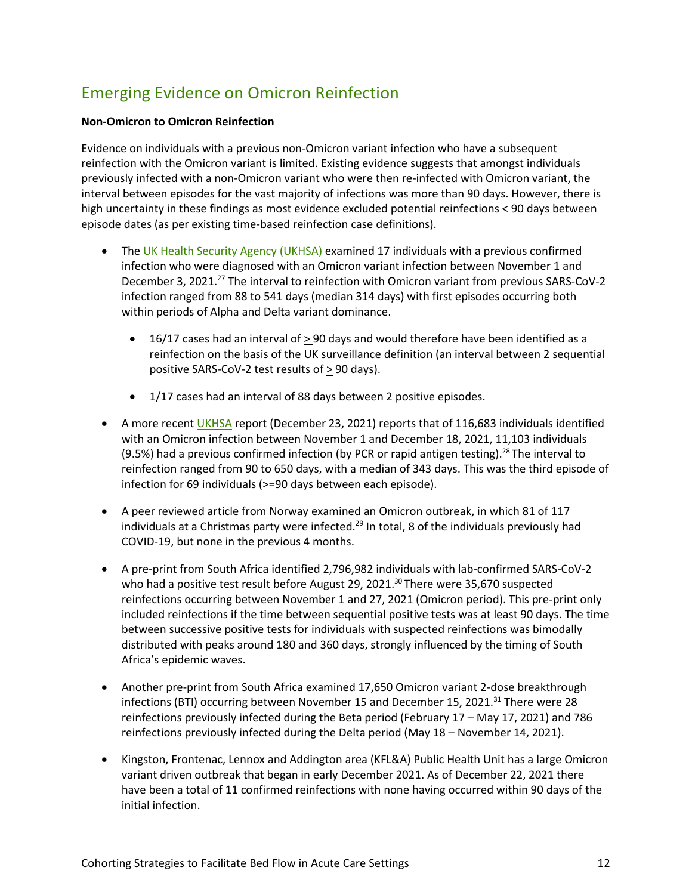## Emerging Evidence on Omicron Reinfection

#### **Non-Omicron to Omicron Reinfection**

Evidence on individuals with a previous non-Omicron variant infection who have a subsequent reinfection with the Omicron variant is limited. Existing evidence suggests that amongst individuals previously infected with a non-Omicron variant who were then re-infected with Omicron variant, the interval between episodes for the vast majority of infections was more than 90 days. However, there is high uncertainty in these findings as most evidence excluded potential reinfections < 90 days between episode dates (as per existing time-based reinfection case definitions).

- The [UK Health Security Agency \(UKHSA\)](https://assets.publishing.service.gov.uk/government/uploads/system/uploads/attachment_data/file/1040076/Technical_Briefing_31.pdf) examined 17 individuals with a previous confirmed infection who were diagnosed with an Omicron variant infection between November 1 and December 3, 2021.<sup>27</sup> The interval to reinfection with Omicron variant from previous SARS-CoV-2 infection ranged from 88 to 541 days (median 314 days) with first episodes occurring both within periods of Alpha and Delta variant dominance.
	- $\bullet$  16/17 cases had an interval of  $>$  90 days and would therefore have been identified as a reinfection on the basis of the UK surveillance definition (an interval between 2 sequential positive SARS-CoV-2 test results of > 90 days).
	- 1/17 cases had an interval of 88 days between 2 positive episodes.
- A more recent [UKHSA](https://assets.publishing.service.gov.uk/government/uploads/system/uploads/attachment_data/file/1043807/technical-briefing-33.pdf) report (December 23, 2021) reports that of 116,683 individuals identified with an Omicron infection between November 1 and December 18, 2021, 11,103 individuals (9.5%) had a previous confirmed infection (by PCR or rapid antigen testing).<sup>28</sup> The interval to reinfection ranged from 90 to 650 days, with a median of 343 days. This was the third episode of infection for 69 individuals (>=90 days between each episode).
- A peer reviewed article from Norway examined an Omicron outbreak, in which 81 of 117 individuals at a Christmas party were infected. 29 In total, 8 of the individuals previously had COVID-19, but none in the previous 4 months.
- A pre-print from South Africa identified 2,796,982 individuals with lab-confirmed SARS-CoV-2 who had a positive test result before August 29, 2021. $30$  There were 35,670 suspected reinfections occurring between November 1 and 27, 2021 (Omicron period). This pre-print only included reinfections if the time between sequential positive tests was at least 90 days. The time between successive positive tests for individuals with suspected reinfections was bimodally distributed with peaks around 180 and 360 days, strongly influenced by the timing of South Africa's epidemic waves.
- Another pre-print from South Africa examined 17,650 Omicron variant 2-dose breakthrough infections (BTI) occurring between November 15 and December 15, 2021.<sup>31</sup> There were 28 reinfections previously infected during the Beta period (February 17 – May 17, 2021) and 786 reinfections previously infected during the Delta period (May 18 – November 14, 2021).
- Kingston, Frontenac, Lennox and Addington area (KFL&A) Public Health Unit has a large Omicron variant driven outbreak that began in early December 2021. As of December 22, 2021 there have been a total of 11 confirmed reinfections with none having occurred within 90 days of the initial infection.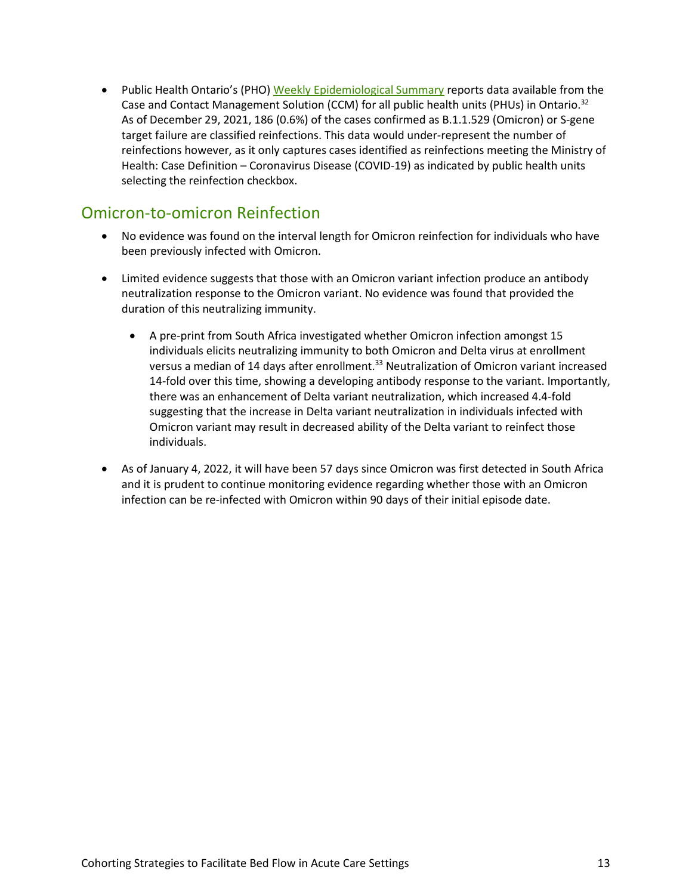• Public Health Ontario's (PHO) [Weekly Epidemiological Summary](https://www.publichealthontario.ca/-/media/documents/ncov/epi/covid-19-omicron-weekly-epi-summary.pdf?sc_lang=en) reports data available from the Case and Contact Management Solution (CCM) for all public health units (PHUs) in Ontario.<sup>32</sup> As of December 29, 2021, 186 (0.6%) of the cases confirmed as B.1.1.529 (Omicron) or S-gene target failure are classified reinfections. This data would under-represent the number of reinfections however, as it only captures cases identified as reinfections meeting the Ministry of Health: Case Definition – Coronavirus Disease (COVID-19) as indicated by public health units selecting the reinfection checkbox.

## Omicron-to-omicron Reinfection

- No evidence was found on the interval length for Omicron reinfection for individuals who have been previously infected with Omicron.
- Limited evidence suggests that those with an Omicron variant infection produce an antibody neutralization response to the Omicron variant. No evidence was found that provided the duration of this neutralizing immunity.
	- A pre-print from South Africa investigated whether Omicron infection amongst 15 individuals elicits neutralizing immunity to both Omicron and Delta virus at enrollment versus a median of 14 days after enrollment.<sup>33</sup> Neutralization of Omicron variant increased 14-fold over this time, showing a developing antibody response to the variant. Importantly, there was an enhancement of Delta variant neutralization, which increased 4.4-fold suggesting that the increase in Delta variant neutralization in individuals infected with Omicron variant may result in decreased ability of the Delta variant to reinfect those individuals.
- As of January 4, 2022, it will have been 57 days since Omicron was first detected in South Africa and it is prudent to continue monitoring evidence regarding whether those with an Omicron infection can be re-infected with Omicron within 90 days of their initial episode date.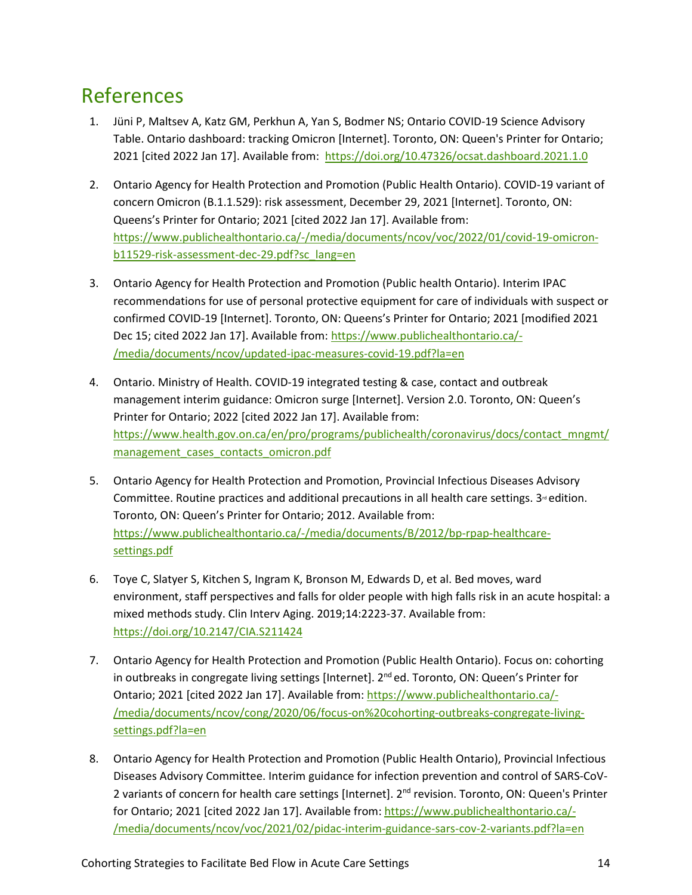## References

- 1. Jüni P, Maltsev A, Katz GM, Perkhun A, Yan S, Bodmer NS; Ontario COVID-19 Science Advisory Table. Ontario dashboard: tracking Omicron [Internet]. Toronto, ON: Queen's Printer for Ontario; 2021 [cited 2022 Jan 17]. Available from:<https://doi.org/10.47326/ocsat.dashboard.2021.1.0>
- 2. Ontario Agency for Health Protection and Promotion (Public Health Ontario). COVID-19 variant of concern Omicron (B.1.1.529): risk assessment, December 29, 2021 [Internet]. Toronto, ON: Queens's Printer for Ontario; 2021 [cited 2022 Jan 17]. Available from: [https://www.publichealthontario.ca/-/media/documents/ncov/voc/2022/01/covid-19-omicron](https://www.publichealthontario.ca/-/media/documents/ncov/voc/2022/01/covid-19-omicron-b11529-risk-assessment-dec-29.pdf?sc_lang=en)[b11529-risk-assessment-dec-29.pdf?sc\\_lang=en](https://www.publichealthontario.ca/-/media/documents/ncov/voc/2022/01/covid-19-omicron-b11529-risk-assessment-dec-29.pdf?sc_lang=en)
- 3. Ontario Agency for Health Protection and Promotion (Public health Ontario). Interim IPAC recommendations for use of personal protective equipment for care of individuals with suspect or confirmed COVID-19 [Internet]. Toronto, ON: Queens's Printer for Ontario; 2021 [modified 2021 Dec 15; cited 2022 Jan 17]. Available from: [https://www.publichealthontario.ca/-](https://www.publichealthontario.ca/-/media/documents/ncov/updated-ipac-measures-covid-19.pdf?la=en) [/media/documents/ncov/updated-ipac-measures-covid-19.pdf?la=en](https://www.publichealthontario.ca/-/media/documents/ncov/updated-ipac-measures-covid-19.pdf?la=en)
- 4. Ontario. Ministry of Health. COVID-19 integrated testing & case, contact and outbreak management interim guidance: Omicron surge [Internet]. Version 2.0. Toronto, ON: Queen's Printer for Ontario; 2022 [cited 2022 Jan 17]. Available from: [https://www.health.gov.on.ca/en/pro/programs/publichealth/coronavirus/docs/contact\\_mngmt/](https://www.health.gov.on.ca/en/pro/programs/publichealth/coronavirus/docs/contact_mngmt/management_cases_contacts_omicron.pdf) [management\\_cases\\_contacts\\_omicron.pdf](https://www.health.gov.on.ca/en/pro/programs/publichealth/coronavirus/docs/contact_mngmt/management_cases_contacts_omicron.pdf)
- 5. Ontario Agency for Health Protection and Promotion, Provincial Infectious Diseases Advisory Committee. Routine practices and additional precautions in all health care settings.  $3<sup>a</sup>$  edition. Toronto, ON: Queen's Printer for Ontario; 2012. Available from: [https://www.publichealthontario.ca/-/media/documents/B/2012/bp-rpap-healthcare](https://www.publichealthontario.ca/-/media/documents/B/2012/bp-rpap-healthcare-settings.pdf)[settings.pdf](https://www.publichealthontario.ca/-/media/documents/B/2012/bp-rpap-healthcare-settings.pdf)
- 6. Toye C, Slatyer S, Kitchen S, Ingram K, Bronson M, Edwards D, et al. Bed moves, ward environment, staff perspectives and falls for older people with high falls risk in an acute hospital: a mixed methods study. Clin Interv Aging. 2019;14:2223-37. Available from: <https://doi.org/10.2147/CIA.S211424>
- 7. Ontario Agency for Health Protection and Promotion (Public Health Ontario). Focus on: cohorting in outbreaks in congregate living settings [Internet]. 2<sup>nd</sup> ed. Toronto, ON: Queen's Printer for Ontario; 2021 [cited 2022 Jan 17]. Available from: [https://www.publichealthontario.ca/-](https://www.publichealthontario.ca/-/media/documents/ncov/cong/2020/06/focus-on%20cohorting-outbreaks-congregate-living-settings.pdf?la=en) [/media/documents/ncov/cong/2020/06/focus-on%20cohorting-outbreaks-congregate-living](https://www.publichealthontario.ca/-/media/documents/ncov/cong/2020/06/focus-on%20cohorting-outbreaks-congregate-living-settings.pdf?la=en)[settings.pdf?la=en](https://www.publichealthontario.ca/-/media/documents/ncov/cong/2020/06/focus-on%20cohorting-outbreaks-congregate-living-settings.pdf?la=en)
- 8. Ontario Agency for Health Protection and Promotion (Public Health Ontario), Provincial Infectious Diseases Advisory Committee. Interim guidance for infection prevention and control of SARS-CoV-2 variants of concern for health care settings [Internet]. 2<sup>nd</sup> revision. Toronto, ON: Queen's Printer for Ontario; 2021 [cited 2022 Jan 17]. Available from: [https://www.publichealthontario.ca/-](https://www.publichealthontario.ca/-/media/documents/ncov/voc/2021/02/pidac-interim-guidance-sars-cov-2-variants.pdf?la=en) [/media/documents/ncov/voc/2021/02/pidac-interim-guidance-sars-cov-2-variants.pdf?la=en](https://www.publichealthontario.ca/-/media/documents/ncov/voc/2021/02/pidac-interim-guidance-sars-cov-2-variants.pdf?la=en)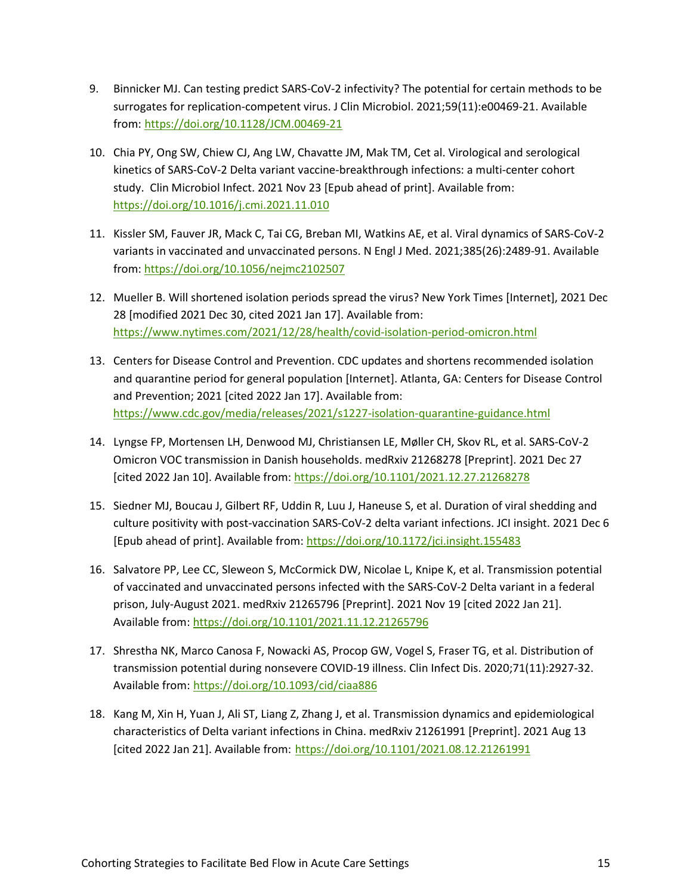- 9. Binnicker MJ. Can testing predict SARS-CoV-2 infectivity? The potential for certain methods to be surrogates for replication-competent virus. J Clin Microbiol. 2021;59(11):e00469-21. Available from: <https://doi.org/10.1128/JCM.00469-21>
- 10. Chia PY, Ong SW, Chiew CJ, Ang LW, Chavatte JM, Mak TM, Cet al. Virological and serological kinetics of SARS-CoV-2 Delta variant vaccine-breakthrough infections: a multi-center cohort study. Clin Microbiol Infect. 2021 Nov 23 [Epub ahead of print]. Available from: <https://doi.org/10.1016/j.cmi.2021.11.010>
- 11. Kissler SM, Fauver JR, Mack C, Tai CG, Breban MI, Watkins AE, et al. Viral dynamics of SARS-CoV-2 variants in vaccinated and unvaccinated persons. N Engl J Med. 2021;385(26):2489-91. Available from: <https://doi.org/10.1056/nejmc2102507>
- 12. Mueller B. Will shortened isolation periods spread the virus? New York Times [Internet], 2021 Dec 28 [modified 2021 Dec 30, cited 2021 Jan 17]. Available from: <https://www.nytimes.com/2021/12/28/health/covid-isolation-period-omicron.html>
- 13. Centers for Disease Control and Prevention. CDC updates and shortens recommended isolation and quarantine period for general population [Internet]. Atlanta, GA: Centers for Disease Control and Prevention; 2021 [cited 2022 Jan 17]. Available from: <https://www.cdc.gov/media/releases/2021/s1227-isolation-quarantine-guidance.html>
- 14. Lyngse FP, Mortensen LH, Denwood MJ, Christiansen LE, Møller CH, Skov RL, et al. SARS-CoV-2 Omicron VOC transmission in Danish households. medRxiv 21268278 [Preprint]. 2021 Dec 27 [cited 2022 Jan 10]. Available from:<https://doi.org/10.1101/2021.12.27.21268278>
- 15. Siedner MJ, Boucau J, Gilbert RF, Uddin R, Luu J, Haneuse S, et al. Duration of viral shedding and culture positivity with post-vaccination SARS-CoV-2 delta variant infections. JCI insight. 2021 Dec 6 [Epub ahead of print]. Available from: <https://doi.org/10.1172/jci.insight.155483>
- 16. Salvatore PP, Lee CC, Sleweon S, McCormick DW, Nicolae L, Knipe K, et al. Transmission potential of vaccinated and unvaccinated persons infected with the SARS-CoV-2 Delta variant in a federal prison, July-August 2021. medRxiv 21265796 [Preprint]. 2021 Nov 19 [cited 2022 Jan 21]. Available from[: https://doi.org/10.1101/2021.11.12.21265796](https://doi.org/10.1101/2021.11.12.21265796)
- 17. Shrestha NK, Marco Canosa F, Nowacki AS, Procop GW, Vogel S, Fraser TG, et al. Distribution of transmission potential during nonsevere COVID-19 illness. Clin Infect Dis. 2020;71(11):2927-32. Available from: <https://doi.org/10.1093/cid/ciaa886>
- 18. Kang M, Xin H, Yuan J, Ali ST, Liang Z, Zhang J, et al. Transmission dynamics and epidemiological characteristics of Delta variant infections in China. medRxiv 21261991 [Preprint]. 2021 Aug 13 [cited 2022 Jan 21]. Available from: <https://doi.org/10.1101/2021.08.12.21261991>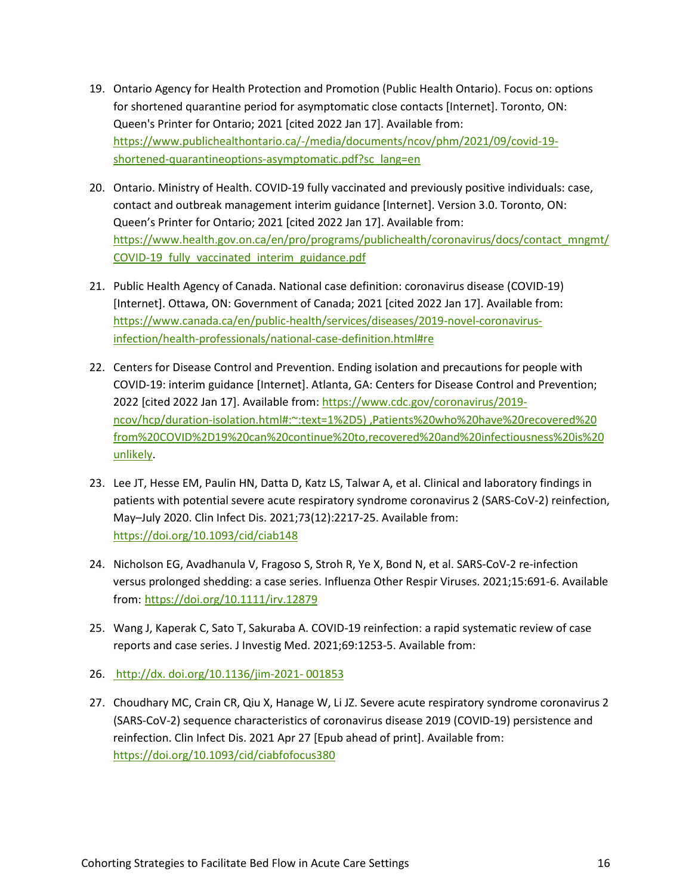- 19. Ontario Agency for Health Protection and Promotion (Public Health Ontario). Focus on: options for shortened quarantine period for asymptomatic close contacts [Internet]. Toronto, ON: Queen's Printer for Ontario; 2021 [cited 2022 Jan 17]. Available from: [https://www.publichealthontario.ca/-/media/documents/ncov/phm/2021/09/covid-19](https://www.publichealthontario.ca/-/media/documents/ncov/phm/2021/09/covid-19-shortened-quarantineoptions-asymptomatic.pdf?sc_lang=en) [shortened-quarantineoptions-asymptomatic.pdf?sc\\_lang=en](https://www.publichealthontario.ca/-/media/documents/ncov/phm/2021/09/covid-19-shortened-quarantineoptions-asymptomatic.pdf?sc_lang=en)
- 20. Ontario. Ministry of Health. COVID-19 fully vaccinated and previously positive individuals: case, contact and outbreak management interim guidance [Internet]. Version 3.0. Toronto, ON: Queen's Printer for Ontario; 2021 [cited 2022 Jan 17]. Available from: [https://www.health.gov.on.ca/en/pro/programs/publichealth/coronavirus/docs/contact\\_mngmt/](https://www.health.gov.on.ca/en/pro/programs/publichealth/coronavirus/docs/contact_mngmt/COVID-19_fully_vaccinated_interim_guidance.pdf) [COVID-19\\_fully\\_vaccinated\\_interim\\_guidance.pdf](https://www.health.gov.on.ca/en/pro/programs/publichealth/coronavirus/docs/contact_mngmt/COVID-19_fully_vaccinated_interim_guidance.pdf)
- 21. Public Health Agency of Canada. National case definition: coronavirus disease (COVID-19) [Internet]. Ottawa, ON: Government of Canada; 2021 [cited 2022 Jan 17]. Available from: [https://www.canada.ca/en/public-health/services/diseases/2019-novel-coronavirus](https://www.canada.ca/en/public-health/services/diseases/2019-novel-coronavirus-infection/health-professionals/national-case-definition.html#re)[infection/health-professionals/national-case-definition.html#re](https://www.canada.ca/en/public-health/services/diseases/2019-novel-coronavirus-infection/health-professionals/national-case-definition.html#re)
- 22. Centers for Disease Control and Prevention. Ending isolation and precautions for people with COVID-19: interim guidance [Internet]. Atlanta, GA: Centers for Disease Control and Prevention; 2022 [cited 2022 Jan 17]. Available from: [https://www.cdc.gov/coronavirus/2019](https://www.cdc.gov/coronavirus/2019-ncov/hcp/duration-isolation.html#:%7E:text=1%2D5)%20,Patients%20who%20have%20recovered%20from%20COVID%2D19%20can%20continue%20to,recovered%20and%20infectiousness%20is%20unlikely) [ncov/hcp/duration-isolation.html#:~:text=1%2D5\) ,Patients%20who%20have%20recovered%20](https://www.cdc.gov/coronavirus/2019-ncov/hcp/duration-isolation.html#:%7E:text=1%2D5)%20,Patients%20who%20have%20recovered%20from%20COVID%2D19%20can%20continue%20to,recovered%20and%20infectiousness%20is%20unlikely) [from%20COVID%2D19%20can%20continue%20to,recovered%20and%20infectiousness%20is%20](https://www.cdc.gov/coronavirus/2019-ncov/hcp/duration-isolation.html#:%7E:text=1%2D5)%20,Patients%20who%20have%20recovered%20from%20COVID%2D19%20can%20continue%20to,recovered%20and%20infectiousness%20is%20unlikely) [unlikely.](https://www.cdc.gov/coronavirus/2019-ncov/hcp/duration-isolation.html#:%7E:text=1%2D5)%20,Patients%20who%20have%20recovered%20from%20COVID%2D19%20can%20continue%20to,recovered%20and%20infectiousness%20is%20unlikely)
- 23. Lee JT, Hesse EM, Paulin HN, Datta D, Katz LS, Talwar A, et al. Clinical and laboratory findings in patients with potential severe acute respiratory syndrome coronavirus 2 (SARS-CoV-2) reinfection, May–July 2020. Clin Infect Dis. 2021;73(12):2217-25. Available from: <https://doi.org/10.1093/cid/ciab148>
- 24. Nicholson EG, Avadhanula V, Fragoso S, Stroh R, Ye X, Bond N, et al. SARS-CoV-2 re-infection versus prolonged shedding: a case series. Influenza Other Respir Viruses. 2021;15:691-6. Available from: <https://doi.org/10.1111/irv.12879>
- 25. Wang J, Kaperak C, Sato T, Sakuraba A. COVID-19 reinfection: a rapid systematic review of case reports and case series. J Investig Med. 2021;69:1253-5. Available from:
- 26. http://dx. doi.org/10.1136/jim-2021- 001853
- 27. Choudhary MC, Crain CR, Qiu X, Hanage W, Li JZ. Severe acute respiratory syndrome coronavirus 2 (SARS-CoV-2) sequence characteristics of coronavirus disease 2019 (COVID-19) persistence and reinfection. Clin Infect Dis. 2021 Apr 27 [Epub ahead of print]. Available from: [https://doi.org/10.1093/cid/ciabfofocus380](https://doi.org/10.1093/cid/ciab380)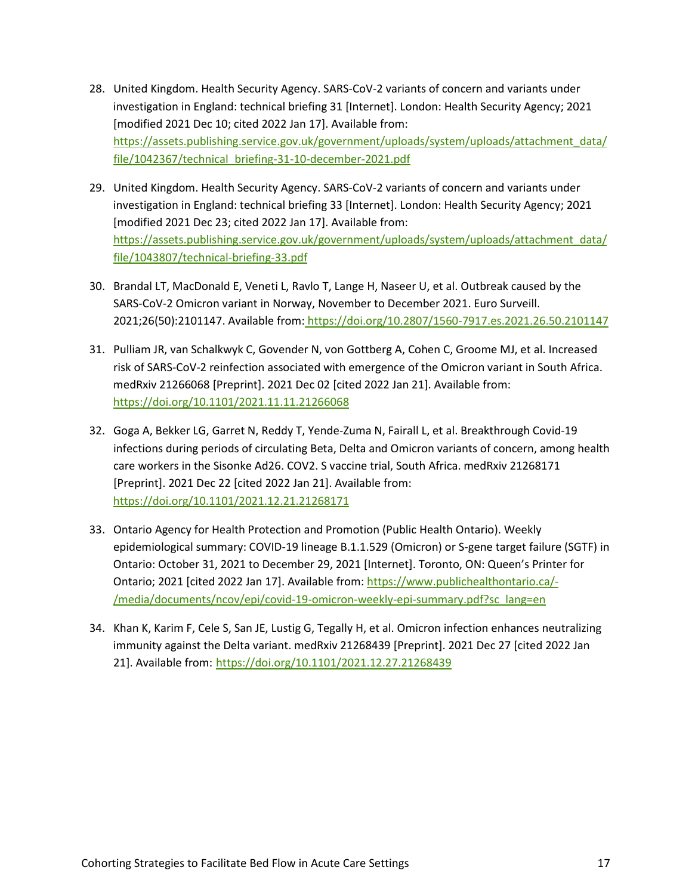- 28. United Kingdom. Health Security Agency. SARS-CoV-2 variants of concern and variants under investigation in England: technical briefing 31 [Internet]. London: Health Security Agency; 2021 [modified 2021 Dec 10; cited 2022 Jan 17]. Available from: [https://assets.publishing.service.gov.uk/government/uploads/system/uploads/attachment\\_data/](https://assets.publishing.service.gov.uk/government/uploads/system/uploads/attachment_data/file/1042367/technical_briefing-31-10-december-2021.pdf) [file/1042367/technical\\_briefing-31-10-december-2021.pdf](https://assets.publishing.service.gov.uk/government/uploads/system/uploads/attachment_data/file/1042367/technical_briefing-31-10-december-2021.pdf)
- 29. United Kingdom. Health Security Agency. SARS-CoV-2 variants of concern and variants under investigation in England: technical briefing 33 [Internet]. London: Health Security Agency; 2021 [modified 2021 Dec 23; cited 2022 Jan 17]. Available from: [https://assets.publishing.service.gov.uk/government/uploads/system/uploads/attachment\\_data/](https://assets.publishing.service.gov.uk/government/uploads/system/uploads/attachment_data/file/1043807/technical-briefing-33.pdf) [file/1043807/technical-briefing-33.pdf](https://assets.publishing.service.gov.uk/government/uploads/system/uploads/attachment_data/file/1043807/technical-briefing-33.pdf)
- 30. Brandal LT, MacDonald E, Veneti L, Ravlo T, Lange H, Naseer U, et al. Outbreak caused by the SARS-CoV-2 Omicron variant in Norway, November to December 2021. Euro Surveill. 2021;26(50):2101147. Available from: <https://doi.org/10.2807/1560-7917.es.2021.26.50.2101147>
- 31. Pulliam JR, van Schalkwyk C, Govender N, von Gottberg A, Cohen C, Groome MJ, et al. Increased risk of SARS-CoV-2 reinfection associated with emergence of the Omicron variant in South Africa. medRxiv 21266068 [Preprint]. 2021 Dec 02 [cited 2022 Jan 21]. Available from: <https://doi.org/10.1101/2021.11.11.21266068>
- 32. Goga A, Bekker LG, Garret N, Reddy T, Yende-Zuma N, Fairall L, et al. Breakthrough Covid-19 infections during periods of circulating Beta, Delta and Omicron variants of concern, among health care workers in the Sisonke Ad26. COV2. S vaccine trial, South Africa. medRxiv 21268171 [Preprint]. 2021 Dec 22 [cited 2022 Jan 21]. Available from: <https://doi.org/10.1101/2021.12.21.21268171>
- 33. Ontario Agency for Health Protection and Promotion (Public Health Ontario). Weekly epidemiological summary: COVID-19 lineage B.1.1.529 (Omicron) or S-gene target failure (SGTF) in Ontario: October 31, 2021 to December 29, 2021 [Internet]. Toronto, ON: Queen's Printer for Ontario; 2021 [cited 2022 Jan 17]. Available from: [https://www.publichealthontario.ca/-](https://www.publichealthontario.ca/-/media/documents/ncov/epi/covid-19-omicron-weekly-epi-summary.pdf?sc_lang=en) [/media/documents/ncov/epi/covid-19-omicron-weekly-epi-summary.pdf?sc\\_lang=en](https://www.publichealthontario.ca/-/media/documents/ncov/epi/covid-19-omicron-weekly-epi-summary.pdf?sc_lang=en)
- 34. Khan K, Karim F, Cele S, San JE, Lustig G, Tegally H, et al. Omicron infection enhances neutralizing immunity against the Delta variant. medRxiv 21268439 [Preprint]. 2021 Dec 27 [cited 2022 Jan 21]. Available from: <https://doi.org/10.1101/2021.12.27.21268439>